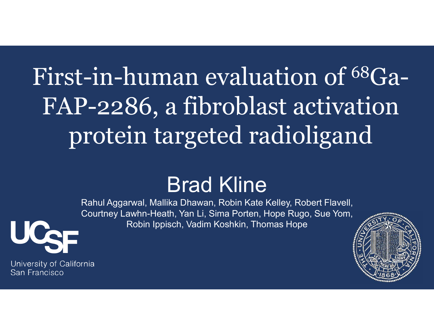# $\text{C-1n-human evaluation of } ^\text{100} \text{Ga-}\n\text{P-2286, a fibroblast activation}\n\text{Protein targeted radioligand}\n\text{Brad Kline}\n\text{Brad Kline}\n\text{Rahul Aggarwal, Mallika Dhawan, Robin Kate Kelley, Robert Flavell, Courthey Lawhn-Heath, Yan Li, Sima Porter, Hope Rugo, Sue Yom, Robin lppisch, Vadlin Koshkin, Thomas Hope\n\text{Robin lppisch, Vadim Koshkin, Thomas Hope}$ First-in-human evaluation of 68Ga-FAP-2286, a fibroblast activation protein targeted radioligand

#### Brad Kline

Rahul Aggarwal, Mallika Dhawan, Robin Kate Kelley, Robert Flavell, Robin Ippisch, Vadim Koshkin, Thomas Hope



University of California San Francisco

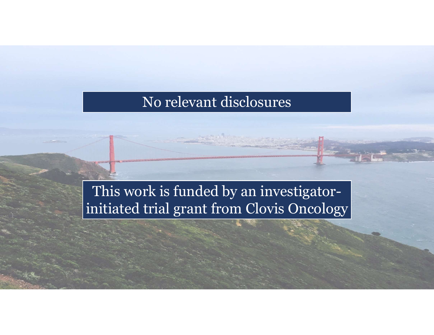#### No relevant disclosures

#### This work is funded by an investigatorinitiated trial grant from Clovis Oncology

 $2.2$  and  $2.2$  and  $2.2$  and  $2.2$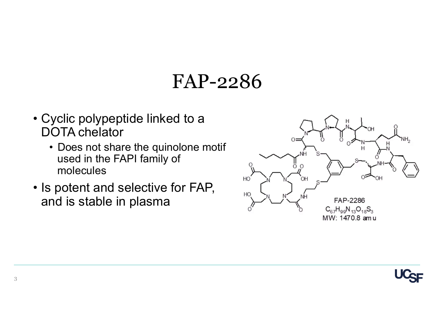#### FAP-2286

- FAP-2286<br>• Cyclic polypeptide linked to a<br>DOTA chelator<br>• Does not share the quinolone motif DOTA chelator
- FAP-2286<br>
byclic polypeptide linked to a<br>
OTA chelator<br>
 Does not share the quinolone motif<br>
used in the FAPI family of<br>
molecules used in the FAPI family of molecules **FAP-2286**<br>• Cyclic polypeptide linked to a<br>DOTA chelator<br>• Does not share the quinolone motif<br>used in the FAPI family of<br>• Is potent and selective for FAP,<br>and is stable in plasma
- and is stable in plasma



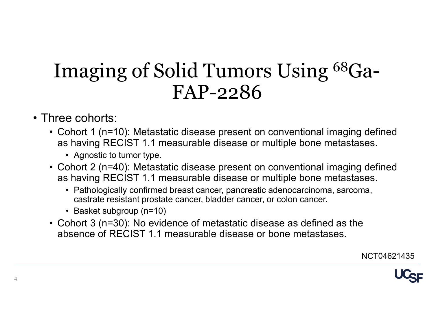## Imaging of Solid Tumors Using 68Ga-FAP-2286 Imaging of Solid Tu<br>FAP-2<br>• Three cohorts:<br>• Cohort 1 (n=10): Metastatic disease p<br>• as having RECIST 1.1 measurable di<br>• Agnostic to tumor type Imaging of Solid Tumors Using  $^{68}Ga$ -<br>FAP-2286<br>
hree cohorts:<br>
• Cohort 1 (n=10): Metastatic disease present on conventional imaging defined<br>
• showing RECIST 1.1 measurable disease or multiple bone metastases.<br>
• Cohort maging of Solid Tumo<br>FAP-228<br>e cohorts:<br>phort 1 (n=10): Metastatic disease present<br>s having RECIST 1.1 measurable disease of<br>exprosite to tumor type.<br>phort 2 (n=40): Metastatic disease present<br>s having RECIST 1.1 measurab Imaging of Solid Tumors Using <sup>68</sup>Ga–<br>
FAP-2286<br>
three cohorts:<br>
• Cohort 1 (n=10): Metastatic disease present on conventional imaging defined<br>
• as having RECIST 1.1 measurable disease or multiple bone metastases.<br>
• Co **erast confirmed breast confirmed breast cancer, pancreatic alsesses are diffused breast changers of the shaving RECIST 1.1 measurable disease or multiple bone metastases.**<br>
• Agnostic to tumor type.<br>
• Agnostic to tumor  $\rm{HAP-228}$ <br>
e cohorts:<br>
ohort 1 (n=10): Metastatic disease present<br>
s having RECIST 1.1 measurable disease c<br>
• Agnostic to tumor type.<br>
ohort 2 (n=40): Metastatic disease present<br>
s having RECIST 1.1 measurable disease

- 
- as having RECIST 1.1 measurable disease or multiple bone metastases. **FAP-2286**<br>
• Cohort 1 (n=10): Metastatic disease present on conventional imaging defined<br>
as having RECIST 1.1 measurable disease or multiple bone metastases.<br>
• Agnostic to tumor type.<br>
• Cohort 2 (n=40): Metastatic dis
	-
	- as having RECIST 1.1 measurable disease or multiple bone metastases.
		- castrate resistant prostate cancer, bladder cancer, or colon cancer.
		-
	- absence of RECIST 1.1 measurable disease or bone metastases.

NCT04621435

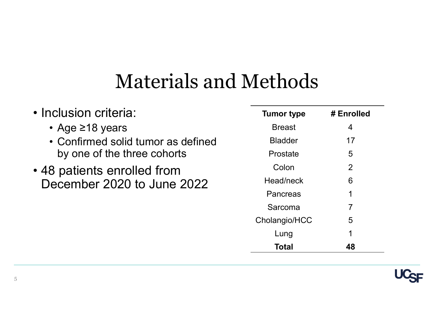#### Materials and Methods

| <b>Materials and Methods</b>                                                         |                   |                |
|--------------------------------------------------------------------------------------|-------------------|----------------|
|                                                                                      |                   |                |
|                                                                                      |                   |                |
|                                                                                      |                   |                |
|                                                                                      |                   |                |
| · Inclusion criteria:                                                                | <b>Tumor type</b> | # Enrolled     |
| • Age ≥18 years<br>• Confirmed solid tumor as defined<br>by one of the three cohorts | <b>Breast</b>     | 4              |
|                                                                                      | <b>Bladder</b>    | 17             |
|                                                                                      | Prostate          | 5              |
| • 48 patients enrolled from<br>December 2020 to June 2022                            | Colon             | $\overline{2}$ |
|                                                                                      | Head/neck         | $6\phantom{1}$ |
|                                                                                      | Pancreas          |                |
|                                                                                      | Sarcoma           | 7              |
|                                                                                      | Cholangio/HCC     | 5              |
|                                                                                      | Lung              |                |
|                                                                                      | <b>Total</b>      | 48             |

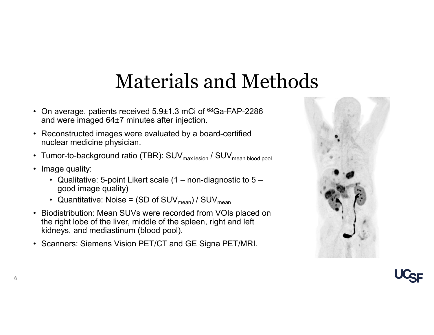# Materials and Methods Materials and Methods<br>• On average, patients received 5.9±1.3 mCi of <sup>68</sup>Ga-FAP-2286<br>and were imaged 64±7 minutes after injection.<br>• Reconstructed images were evaluated by a board-certified<br>nuclear medicine physician.

- and were imaged 64±7 minutes after injection. **Materials and Methors**<br>• On average, patients received 5.9±1.3 mCi of <sup>68</sup>Ga-FAP-2286<br>• Reconstructed images were evaluated by a board-certified<br>• Tumor-to-background ratio (TBR): SUV<sub>max lesion</sub> / SUV<sub>mean blood pool</sub><br>•
- nuclear medicine physician. **Materials and Weiter States (SCALL ACT)**<br>
• On average, patients received 5.9±1.3 mCi of <sup>68</sup>G<sub>i</sub><br>
• Reconstructed images were evaluated by a board<br>
• Reconstructed images were evaluated by a board<br>
• Tumor-to-background
- 
- - good image quality)
	-
- **Materials and Methods**<br>
In average, patients received 5.9±1.3 mCi of <sup>68</sup>Ga-FAP-2286<br>
d were imaged 64±7 minutes after injection.<br>
econstructed images were evaluated by a board-certified<br>
Iclear medicine physician.<br>
Imor **Materials and Methods**<br>• On average, patients received 5.9±1.3 mCi of <sup>68</sup>Ga-FAP-2286<br>
and were imaged 64±7 minutes after injection.<br>• Reconstructed images were evaluated by a board-certified<br>
• Tumor-to-background ratio the right lobe of the liver, middle of the spleen, right and left kidneys, and mediastinum (blood pool). • On average, patients received 5.9±1.3 mCi of <sup>68</sup>Ga-FAP-228<br>
and were imaged 64±7 minutes after injection.<br>
• Reconstructed images were evaluated by a board-certified<br>
• rumor-to-background ratio (TBR): SUV<sub>max lesion</sub>
- 



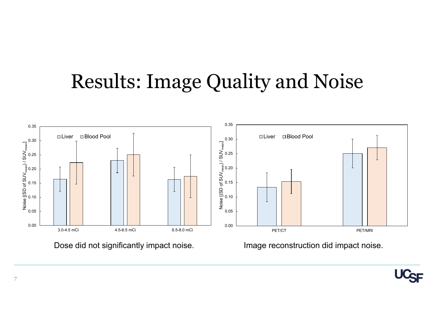#### Results: Image Quality and Noise





7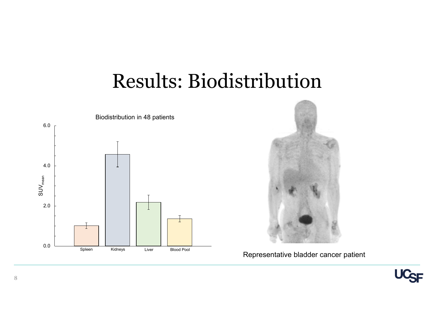#### Results: Biodistribution





Representative bladder cancer patient

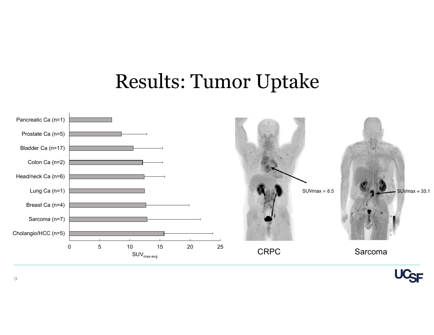#### Results: Tumor Uptake



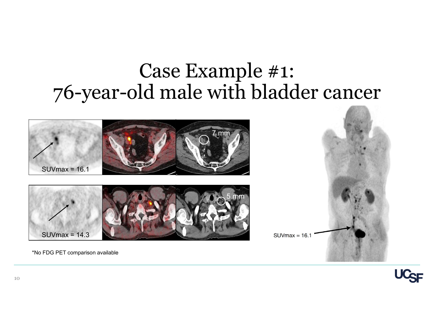#### Case Example #1: 76-year-old male with bladder cancer







\*No FDG PET comparison available

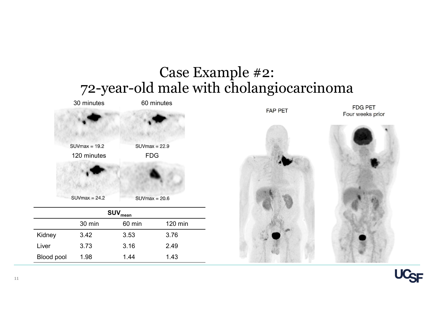

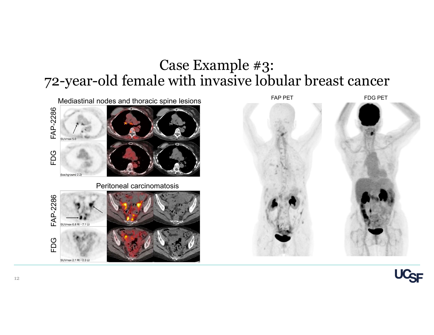#### Case Example #3: 72-year-old female with invasive lobular breast cancer



SUVmax 2.1 Rt - 2.3 Lt



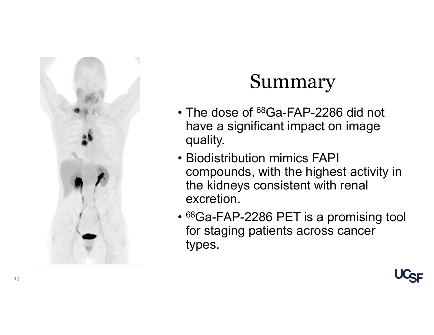

#### Summary

- **Summary**<br>• The dose of <sup>68</sup>Ga-FAP-2286 did not<br>have a significant impact on image<br>quality. have a significant impact on image quality.
- **Summary**<br>• The dose of <sup>68</sup>Ga-FAP-2286 did not<br>have a significant impact on image<br>quality.<br>• Biodistribution mimics FAPI<br>compounds, with the highest activity<br>the kidneys consistent with renal compounds, with the highest activity in the kidneys consistent with renal excretion.
- 68Ga-FAP-2286 PET is a promising tool for staging patients across cancer types.